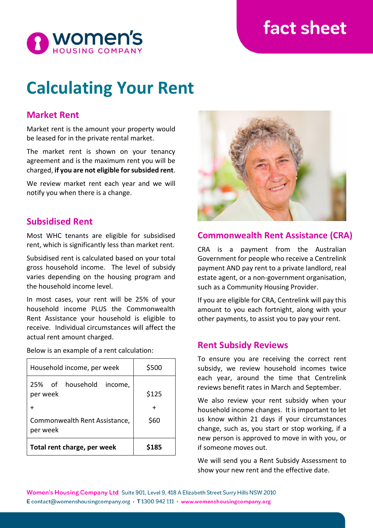## fact sheet



# **Calculating Your Rent**

## **Market Rent**

Market rent is the amount your property would be leased for in the private rental market.

The market rent is shown on your tenancy agreement and is the maximum rent you will be charged, **if you are not eligible for subsided rent**.

We review market rent each year and we will notify you when there is a change.

## **Subsidised Rent**

Most WHC tenants are eligible for subsidised rent, which is significantly less than market rent.

Subsidised rent is calculated based on your total gross household income. The level of subsidy varies depending on the housing program and the household income level.

In most cases, your rent will be 25% of your household income PLUS the Commonwealth Rent Assistance your household is eligible to receive. Individual circumstances will affect the actual rent amount charged.

Below is an example of a rent calculation:

| Total rent charge, per week               | S185  |
|-------------------------------------------|-------|
| Commonwealth Rent Assistance,<br>per week | \$60  |
|                                           |       |
| 25% of household<br>income,<br>per week   | \$125 |
| Household income, per week                | \$500 |



## **Commonwealth Rent Assistance (CRA)**

CRA is a payment from the Australian Government for people who receive a Centrelink payment AND pay rent to a private landlord, real estate agent, or a non-government organisation, such as a Community Housing Provider.

If you are eligible for CRA, Centrelink will pay this amount to you each fortnight, along with your other payments, to assist you to pay your rent.

## **Rent Subsidy Reviews**

To ensure you are receiving the correct rent subsidy, we review household incomes twice each year, around the time that Centrelink reviews benefit rates in March and September.

We also review your rent subsidy when your household income changes. It is important to let us know within 21 days if your circumstances change, such as, you start or stop working, if a new person is approved to move in with you, or if someone moves out.

We will send you a Rent Subsidy Assessment to show your new rent and the effective date.